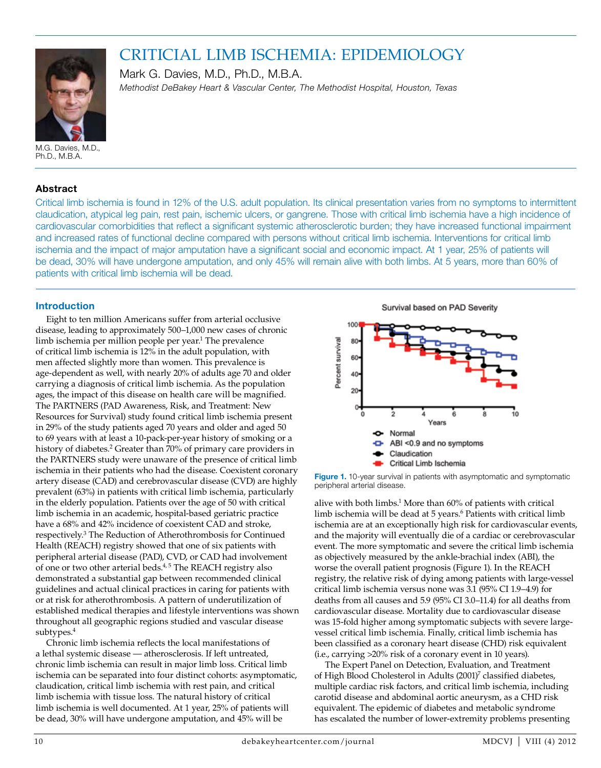

# CRITICIAL LIMB ISCHEMIA: EPIDEMIOLOGY

Mark G. Davies, M.D., Ph.D., M.B.A. *Methodist DeBakey Heart & Vascular Center, The Methodist Hospital, Houston, Texas*

M.G. Davies, M.D., Ph.D., M.B.A.

## **Abstract**

Critical limb ischemia is found in 12% of the U.S. adult population. Its clinical presentation varies from no symptoms to intermittent claudication, atypical leg pain, rest pain, ischemic ulcers, or gangrene. Those with critical limb ischemia have a high incidence of cardiovascular comorbidities that reflect a significant systemic atherosclerotic burden; they have increased functional impairment and increased rates of functional decline compared with persons without critical limb ischemia. Interventions for critical limb ischemia and the impact of major amputation have a significant social and economic impact. At 1 year, 25% of patients will be dead, 30% will have undergone amputation, and only 45% will remain alive with both limbs. At 5 years, more than 60% of patients with critical limb ischemia will be dead.

## **Introduction**

Eight to ten million Americans suffer from arterial occlusive disease, leading to approximately 500–1,000 new cases of chronic limb ischemia per million people per year.<sup>1</sup> The prevalence of critical limb ischemia is 12% in the adult population, with men affected slightly more than women. This prevalence is age-dependent as well, with nearly 20% of adults age 70 and older carrying a diagnosis of critical limb ischemia. As the population ages, the impact of this disease on health care will be magnified. The PARTNERS (PAD Awareness, Risk, and Treatment: New Resources for Survival) study found critical limb ischemia present in 29% of the study patients aged 70 years and older and aged 50 to 69 years with at least a 10-pack-per-year history of smoking or a history of diabetes.<sup>2</sup> Greater than 70% of primary care providers in the PARTNERS study were unaware of the presence of critical limb ischemia in their patients who had the disease. Coexistent coronary artery disease (CAD) and cerebrovascular disease (CVD) are highly prevalent (63%) in patients with critical limb ischemia, particularly in the elderly population. Patients over the age of 50 with critical limb ischemia in an academic, hospital-based geriatric practice have a 68% and 42% incidence of coexistent CAD and stroke, respectively.3 The Reduction of Atherothrombosis for Continued Health (REACH) registry showed that one of six patients with peripheral arterial disease (PAD), CVD, or CAD had involvement of one or two other arterial beds. $4,5$  The REACH registry also demonstrated a substantial gap between recommended clinical guidelines and actual clinical practices in caring for patients with or at risk for atherothrombosis. A pattern of underutilization of established medical therapies and lifestyle interventions was shown throughout all geographic regions studied and vascular disease subtypes.<sup>4</sup>

Chronic limb ischemia reflects the local manifestations of a lethal systemic disease — atherosclerosis. If left untreated, chronic limb ischemia can result in major limb loss. Critical limb ischemia can be separated into four distinct cohorts: asymptomatic, claudication, critical limb ischemia with rest pain, and critical limb ischemia with tissue loss. The natural history of critical limb ischemia is well documented. At 1 year, 25% of patients will be dead, 30% will have undergone amputation, and 45% will be

Survival based on PAD Severity



Figure 1. 10-year survival in patients with asymptomatic and symptomatic peripheral arterial disease.

alive with both limbs.<sup>1</sup> More than 60% of patients with critical limb ischemia will be dead at 5 years.<sup>6</sup> Patients with critical limb ischemia are at an exceptionally high risk for cardiovascular events, and the majority will eventually die of a cardiac or cerebrovascular event. The more symptomatic and severe the critical limb ischemia as objectively measured by the ankle-brachial index (ABI), the worse the overall patient prognosis (Figure 1). In the REACH registry, the relative risk of dying among patients with large-vessel critical limb ischemia versus none was 3.1 (95% CI 1.9–4.9) for deaths from all causes and 5.9 (95% CI 3.0–11.4) for all deaths from cardiovascular disease. Mortality due to cardiovascular disease was 15-fold higher among symptomatic subjects with severe largevessel critical limb ischemia. Finally, critical limb ischemia has been classified as a coronary heart disease (CHD) risk equivalent (i.e., carrying >20% risk of a coronary event in 10 years).

The Expert Panel on Detection, Evaluation, and Treatment of High Blood Cholesterol in Adults (2001)<sup>7</sup> classified diabetes, multiple cardiac risk factors, and critical limb ischemia, including carotid disease and abdominal aortic aneurysm, as a CHD risk equivalent. The epidemic of diabetes and metabolic syndrome has escalated the number of lower-extremity problems presenting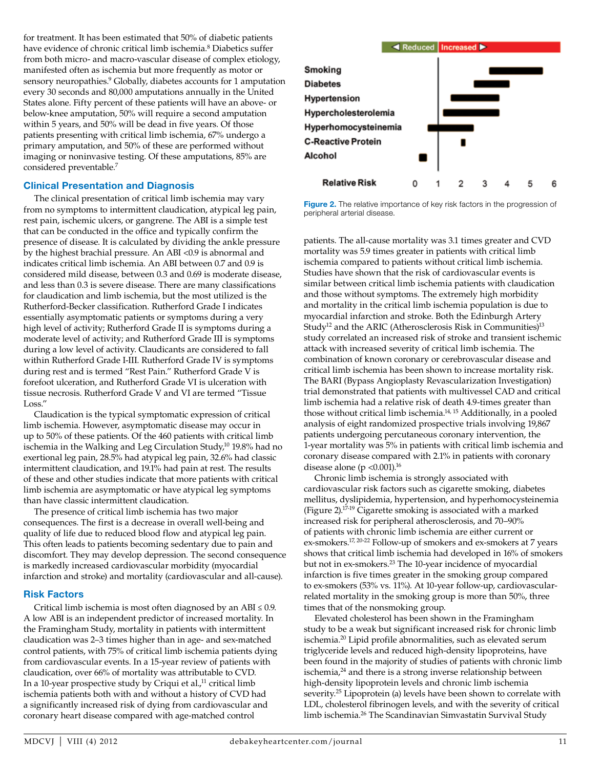for treatment. It has been estimated that 50% of diabetic patients have evidence of chronic critical limb ischemia.8 Diabetics suffer from both micro- and macro-vascular disease of complex etiology, manifested often as ischemia but more frequently as motor or sensory neuropathies.<sup>9</sup> Globally, diabetes accounts for 1 amputation every 30 seconds and 80,000 amputations annually in the United States alone. Fifty percent of these patients will have an above- or below-knee amputation, 50% will require a second amputation within 5 years, and 50% will be dead in five years. Of those patients presenting with critical limb ischemia, 67% undergo a primary amputation, and 50% of these are performed without imaging or noninvasive testing. Of these amputations, 85% are considered preventable.<sup>7</sup>

#### **Clinical Presentation and Diagnosis**

The clinical presentation of critical limb ischemia may vary from no symptoms to intermittent claudication, atypical leg pain, rest pain, ischemic ulcers, or gangrene. The ABI is a simple test that can be conducted in the office and typically confirm the presence of disease. It is calculated by dividing the ankle pressure by the highest brachial pressure. An ABI <0.9 is abnormal and indicates critical limb ischemia. An ABI between 0.7 and 0.9 is considered mild disease, between 0.3 and 0.69 is moderate disease, and less than 0.3 is severe disease. There are many classifications for claudication and limb ischemia, but the most utilized is the Rutherford-Becker classification. Rutherford Grade I indicates essentially asymptomatic patients or symptoms during a very high level of activity; Rutherford Grade II is symptoms during a moderate level of activity; and Rutherford Grade III is symptoms during a low level of activity. Claudicants are considered to fall within Rutherford Grade I-III. Rutherford Grade IV is symptoms during rest and is termed "Rest Pain." Rutherford Grade V is forefoot ulceration, and Rutherford Grade VI is ulceration with tissue necrosis. Rutherford Grade V and VI are termed "Tissue Loss."

Claudication is the typical symptomatic expression of critical limb ischemia. However, asymptomatic disease may occur in up to 50% of these patients. Of the 460 patients with critical limb ischemia in the Walking and Leg Circulation Study, $10\frac{10}{19.8\%}$  had no exertional leg pain, 28.5% had atypical leg pain, 32.6% had classic intermittent claudication, and 19.1% had pain at rest. The results of these and other studies indicate that more patients with critical limb ischemia are asymptomatic or have atypical leg symptoms than have classic intermittent claudication.

The presence of critical limb ischemia has two major consequences. The first is a decrease in overall well-being and quality of life due to reduced blood flow and atypical leg pain. This often leads to patients becoming sedentary due to pain and discomfort. They may develop depression. The second consequence is markedly increased cardiovascular morbidity (myocardial infarction and stroke) and mortality (cardiovascular and all-cause).

#### **Risk Factors**

Critical limb ischemia is most often diagnosed by an ABI  $\leq 0.9$ . A low ABI is an independent predictor of increased mortality. In the Framingham Study, mortality in patients with intermittent claudication was 2–3 times higher than in age- and sex-matched control patients, with 75% of critical limb ischemia patients dying from cardiovascular events. In a 15-year review of patients with claudication, over 66% of mortality was attributable to CVD. In a 10-year prospective study by Criqui et al., $11$  critical limb ischemia patients both with and without a history of CVD had a significantly increased risk of dying from cardiovascular and coronary heart disease compared with age-matched control



**Figure 2.** The relative importance of key risk factors in the progression of peripheral arterial disease.

patients. The all-cause mortality was 3.1 times greater and CVD mortality was 5.9 times greater in patients with critical limb ischemia compared to patients without critical limb ischemia. Studies have shown that the risk of cardiovascular events is similar between critical limb ischemia patients with claudication and those without symptoms. The extremely high morbidity and mortality in the critical limb ischemia population is due to myocardial infarction and stroke. Both the Edinburgh Artery Study<sup>12</sup> and the ARIC (Atherosclerosis Risk in Communities)<sup>13</sup> study correlated an increased risk of stroke and transient ischemic attack with increased severity of critical limb ischemia. The combination of known coronary or cerebrovascular disease and critical limb ischemia has been shown to increase mortality risk. The BARI (Bypass Angioplasty Revascularization Investigation) trial demonstrated that patients with multivessel CAD and critical limb ischemia had a relative risk of death 4.9-times greater than those without critical limb ischemia.<sup>14, 15</sup> Additionally, in a pooled analysis of eight randomized prospective trials involving 19,867 patients undergoing percutaneous coronary intervention, the 1-year mortality was 5% in patients with critical limb ischemia and coronary disease compared with 2.1% in patients with coronary disease alone ( $p < 0.001$ ).<sup>16</sup>

Chronic limb ischemia is strongly associated with cardiovascular risk factors such as cigarette smoking, diabetes mellitus, dyslipidemia, hypertension, and hyperhomocysteinemia (Figure 2).17-19 Cigarette smoking is associated with a marked increased risk for peripheral atherosclerosis, and 70–90% of patients with chronic limb ischemia are either current or ex-smokers.<sup>17, 20-22</sup> Follow-up of smokers and ex-smokers at 7 years shows that critical limb ischemia had developed in 16% of smokers but not in ex-smokers.<sup>23</sup> The 10-year incidence of myocardial infarction is five times greater in the smoking group compared to ex-smokers (53% vs. 11%). At 10-year follow-up, cardiovascularrelated mortality in the smoking group is more than 50%, three times that of the nonsmoking group.

Elevated cholesterol has been shown in the Framingham study to be a weak but significant increased risk for chronic limb ischemia.20 Lipid profile abnormalities, such as elevated serum triglyceride levels and reduced high-density lipoproteins, have been found in the majority of studies of patients with chronic limb ischemia, $24$  and there is a strong inverse relationship between high-density lipoprotein levels and chronic limb ischemia severity.<sup>25</sup> Lipoprotein (a) levels have been shown to correlate with LDL, cholesterol fibrinogen levels, and with the severity of critical limb ischemia.26 The Scandinavian Simvastatin Survival Study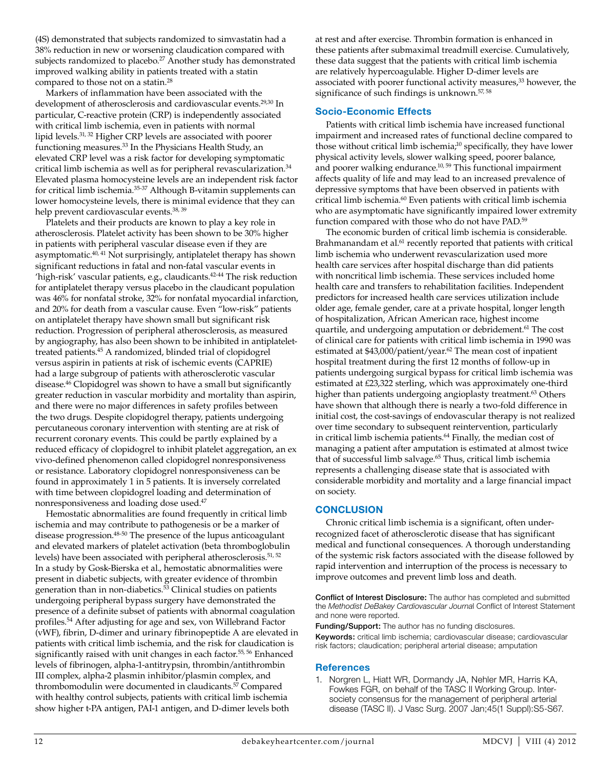(4S) demonstrated that subjects randomized to simvastatin had a 38% reduction in new or worsening claudication compared with subjects randomized to placebo.<sup>27</sup> Another study has demonstrated improved walking ability in patients treated with a statin compared to those not on a statin.28

Markers of inflammation have been associated with the development of atherosclerosis and cardiovascular events.29,30 In particular, C-reactive protein (CRP) is independently associated with critical limb ischemia, even in patients with normal lipid levels.31, 32 Higher CRP levels are associated with poorer functioning measures.33 In the Physicians Health Study, an elevated CRP level was a risk factor for developing symptomatic critical limb ischemia as well as for peripheral revascularization. $34$ Elevated plasma homocysteine levels are an independent risk factor for critical limb ischemia.35-37 Although B-vitamin supplements can lower homocysteine levels, there is minimal evidence that they can help prevent cardiovascular events.<sup>38, 39</sup>

Platelets and their products are known to play a key role in atherosclerosis. Platelet activity has been shown to be 30% higher in patients with peripheral vascular disease even if they are asymptomatic.40, 41 Not surprisingly, antiplatelet therapy has shown significant reductions in fatal and non-fatal vascular events in 'high-risk' vascular patients, e.g., claudicants.<sup>42-44</sup> The risk reduction for antiplatelet therapy versus placebo in the claudicant population was 46% for nonfatal stroke, 32% for nonfatal myocardial infarction, and 20% for death from a vascular cause. Even "low-risk" patients on antiplatelet therapy have shown small but significant risk reduction. Progression of peripheral atherosclerosis, as measured by angiography, has also been shown to be inhibited in antiplatelettreated patients.45 A randomized, blinded trial of clopidogrel versus aspirin in patients at risk of ischemic events (CAPRIE) had a large subgroup of patients with atherosclerotic vascular disease.46 Clopidogrel was shown to have a small but significantly greater reduction in vascular morbidity and mortality than aspirin, and there were no major differences in safety profiles between the two drugs. Despite clopidogrel therapy, patients undergoing percutaneous coronary intervention with stenting are at risk of recurrent coronary events. This could be partly explained by a reduced efficacy of clopidogrel to inhibit platelet aggregation, an ex vivo-defined phenomenon called clopidogrel nonresponsiveness or resistance. Laboratory clopidogrel nonresponsiveness can be found in approximately 1 in 5 patients. It is inversely correlated with time between clopidogrel loading and determination of nonresponsiveness and loading dose used.47

Hemostatic abnormalities are found frequently in critical limb ischemia and may contribute to pathogenesis or be a marker of disease progression.48-50 The presence of the lupus anticoagulant and elevated markers of platelet activation (beta thromboglobulin levels) have been associated with peripheral atherosclerosis.<sup>51, 52</sup> In a study by Gosk-Bierska et al., hemostatic abnormalities were present in diabetic subjects, with greater evidence of thrombin generation than in non-diabetics.<sup>53</sup> Clinical studies on patients undergoing peripheral bypass surgery have demonstrated the presence of a definite subset of patients with abnormal coagulation profiles.54 After adjusting for age and sex, von Willebrand Factor (vWF), fibrin, D-dimer and urinary fibrinopeptide A are elevated in patients with critical limb ischemia, and the risk for claudication is significantly raised with unit changes in each factor.<sup>55, 56</sup> Enhanced levels of fibrinogen, alpha-1-antitrypsin, thrombin/antithrombin III complex, alpha-2 plasmin inhibitor/plasmin complex, and thrombomodulin were documented in claudicants.<sup>57</sup> Compared with healthy control subjects, patients with critical limb ischemia show higher t-PA antigen, PAI-1 antigen, and D-dimer levels both

at rest and after exercise. Thrombin formation is enhanced in these patients after submaximal treadmill exercise. Cumulatively, these data suggest that the patients with critical limb ischemia are relatively hypercoagulable. Higher D-dimer levels are associated with poorer functional activity measures,<sup>33</sup> however, the significance of such findings is unknown.<sup>57, 58</sup>

## **Socio-Economic Effects**

Patients with critical limb ischemia have increased functional impairment and increased rates of functional decline compared to those without critical limb ischemia;<sup>10</sup> specifically, they have lower physical activity levels, slower walking speed, poorer balance, and poorer walking endurance.<sup>10, 59</sup> This functional impairment affects quality of life and may lead to an increased prevalence of depressive symptoms that have been observed in patients with critical limb ischemia.<sup>60</sup> Even patients with critical limb ischemia who are asymptomatic have significantly impaired lower extremity function compared with those who do not have PAD.<sup>59</sup>

The economic burden of critical limb ischemia is considerable. Brahmanandam et al.<sup>61</sup> recently reported that patients with critical limb ischemia who underwent revascularization used more health care services after hospital discharge than did patients with noncritical limb ischemia. These services included home health care and transfers to rehabilitation facilities. Independent predictors for increased health care services utilization include older age, female gender, care at a private hospital, longer length of hospitalization, African American race, highest income quartile, and undergoing amputation or debridement.<sup>61</sup> The cost of clinical care for patients with critical limb ischemia in 1990 was estimated at \$43,000/patient/year.<sup>62</sup> The mean cost of inpatient hospital treatment during the first 12 months of follow-up in patients undergoing surgical bypass for critical limb ischemia was estimated at £23,322 sterling, which was approximately one-third higher than patients undergoing angioplasty treatment.<sup>63</sup> Others have shown that although there is nearly a two-fold difference in initial cost, the cost-savings of endovascular therapy is not realized over time secondary to subsequent reintervention, particularly in critical limb ischemia patients.<sup>64</sup> Finally, the median cost of managing a patient after amputation is estimated at almost twice that of successful limb salvage.<sup>65</sup> Thus, critical limb ischemia represents a challenging disease state that is associated with considerable morbidity and mortality and a large financial impact on society.

# **CONCLUSION**

Chronic critical limb ischemia is a significant, often underrecognized facet of atherosclerotic disease that has significant medical and functional consequences. A thorough understanding of the systemic risk factors associated with the disease followed by rapid intervention and interruption of the process is necessary to improve outcomes and prevent limb loss and death.

Conflict of Interest Disclosure: The author has completed and submitted the *Methodist DeBakey Cardiovascular Journa*l Conflict of Interest Statement and none were reported.

Funding/Support: The author has no funding disclosures. Keywords: critical limb ischemia; cardiovascular disease; cardiovascular risk factors; claudication; peripheral arterial disease; amputation

## **References**

1. Norgren L, Hiatt WR, Dormandy JA, Nehler MR, Harris KA, Fowkes FGR, on behalf of the TASC II Working Group. Intersociety consensus for the management of peripheral arterial disease (TASC II). J Vasc Surg. 2007 Jan;45(1 Suppl):S5-S67.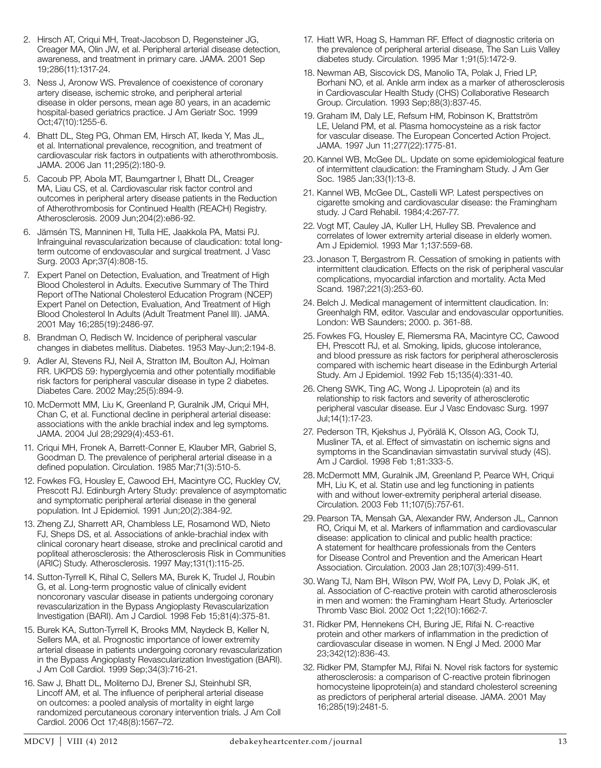- 2. Hirsch AT, Criqui MH, Treat-Jacobson D, Regensteiner JG, Creager MA, Olin JW, et al. Peripheral arterial disease detection, awareness, and treatment in primary care. JAMA. 2001 Sep 19;286(11):1317-24.
- 3. Ness J, Aronow WS. Prevalence of coexistence of coronary artery disease, ischemic stroke, and peripheral arterial disease in older persons, mean age 80 years, in an academic hospital-based geriatrics practice. J Am Geriatr Soc. 1999 Oct;47(10):1255-6.
- 4. Bhatt DL, Steg PG, Ohman EM, Hirsch AT, Ikeda Y, Mas JL, et al. International prevalence, recognition, and treatment of cardiovascular risk factors in outpatients with atherothrombosis. JAMA. 2006 Jan 11;295(2):180-9.
- 5. Cacoub PP, Abola MT, Baumgartner I, Bhatt DL, Creager MA, Liau CS, et al. Cardiovascular risk factor control and outcomes in peripheral artery disease patients in the Reduction of Atherothrombosis for Continued Health (REACH) Registry. Atherosclerosis. 2009 Jun;204(2):e86-92.
- 6. Jämsén TS, Manninen HI, Tulla HE, Jaakkola PA, Matsi PJ. Infrainguinal revascularization because of claudication: total longterm outcome of endovascular and surgical treatment. J Vasc Surg. 2003 Apr;37(4):808-15.
- 7. Expert Panel on Detection, Evaluation, and Treatment of High Blood Cholesterol in Adults. Executive Summary of The Third Report ofThe National Cholesterol Education Program (NCEP) Expert Panel on Detection, Evaluation, And Treatment of High Blood Cholesterol In Adults (Adult Treatment Panel III). JAMA. 2001 May 16;285(19):2486-97.
- 8. Brandman O, Redisch W. Incidence of peripheral vascular changes in diabetes mellitus. Diabetes. 1953 May-Jun;2:194-8.
- 9. Adler AI, Stevens RJ, Neil A, Stratton IM, Boulton AJ, Holman RR. UKPDS 59: hyperglycemia and other potentially modifiable risk factors for peripheral vascular disease in type 2 diabetes. Diabetes Care. 2002 May;25(5):894-9.
- 10. McDermott MM, Liu K, Greenland P, Guralnik JM, Criqui MH, Chan C, et al. Functional decline in peripheral arterial disease: associations with the ankle brachial index and leg symptoms. JAMA. 2004 Jul 28;2929(4):453-61.
- 11. Criqui MH, Fronek A, Barrett-Conner E, Klauber MR, Gabriel S, Goodman D. The prevalence of peripheral arterial disease in a defined population. Circulation. 1985 Mar;71(3):510-5.
- 12. Fowkes FG, Housley E, Cawood EH, Macintyre CC, Ruckley CV, Prescott RJ. Edinburgh Artery Study: prevalence of asymptomatic and symptomatic peripheral arterial disease in the general population. Int J Epidemiol. 1991 Jun;20(2):384-92.
- 13. Zheng ZJ, Sharrett AR, Chambless LE, Rosamond WD, Nieto FJ, Sheps DS, et al. Associations of ankle-brachial index with clinical coronary heart disease, stroke and preclinical carotid and popliteal atherosclerosis: the Atherosclerosis Risk in Communities (ARIC) Study. Atherosclerosis. 1997 May;131(1):115-25.
- 14. Sutton-Tyrrell K, Rihal C, Sellers MA, Burek K, Trudel J, Roubin G, et al. Long-term prognostic value of clinically evident noncoronary vascular disease in patients undergoing coronary revascularization in the Bypass Angioplasty Revascularization Investigation (BARI). Am J Cardiol. 1998 Feb 15;81(4):375-81.
- 15. Burek KA, Sutton-Tyrrell K, Brooks MM, Naydeck B, Keller N, Sellers MA, et al. Prognostic importance of lower extremity arterial disease in patients undergoing coronary revascularization in the Bypass Angioplasty Revascularization Investigation (BARI). J Am Coll Cardiol. 1999 Sep;34(3):716-21.
- 16. Saw J, Bhatt DL, Moliterno DJ, Brener SJ, Steinhubl SR, Lincoff AM, et al. The influence of peripheral arterial disease on outcomes: a pooled analysis of mortality in eight large randomized percutaneous coronary intervention trials. J Am Coll Cardiol. 2006 Oct 17;48(8):1567–72.
- 17. Hiatt WR, Hoag S, Hamman RF. Effect of diagnostic criteria on the prevalence of peripheral arterial disease, The San Luis Valley diabetes study. Circulation. 1995 Mar 1;91(5):1472-9.
- 18. Newman AB, Siscovick DS, Manolio TA, Polak J, Fried LP, Borhani NO, et al. Ankle arm index as a marker of atherosclerosis in Cardiovascular Health Study (CHS) Collaborative Research Group. Circulation. 1993 Sep;88(3):837-45.
- 19. Graham IM, Daly LE, Refsum HM, Robinson K, Brattström LE, Ueland PM, et al. Plasma homocysteine as a risk factor for vascular disease. The European Concerted Action Project. JAMA. 1997 Jun 11;277(22):1775-81.
- 20. Kannel WB, McGee DL. Update on some epidemiological feature of intermittent claudication: the Framingham Study. J Am Ger Soc. 1985 Jan;33(1):13-8.
- 21. Kannel WB, McGee DL, Castelli WP. Latest perspectives on cigarette smoking and cardiovascular disease: the Framingham study. J Card Rehabil. 1984;4:267-77.
- 22. Vogt MT, Cauley JA, Kuller LH, Hulley SB. Prevalence and correlates of lower extremity arterial disease in elderly women. Am J Epidemiol. 1993 Mar 1;137:559-68.
- 23. Jonason T, Bergastrom R. Cessation of smoking in patients with intermittent claudication. Effects on the risk of peripheral vascular complications, myocardial infarction and mortality. Acta Med Scand. 1987;221(3):253-60.
- 24. Belch J. Medical management of intermittent claudication. In: Greenhalgh RM, editor. Vascular and endovascular opportunities. London: WB Saunders; 2000. p. 361-88.
- 25. Fowkes FG, Housley E, Riemersma RA, Macintyre CC, Cawood EH, Prescott RJ, et al. Smoking, lipids, glucose intolerance, and blood pressure as risk factors for peripheral atherosclerosis compared with ischemic heart disease in the Edinburgh Arterial Study. Am J Epidemiol. 1992 Feb 15;135(4):331-40.
- 26. Cheng SWK, Ting AC, Wong J. Lipoprotein (a) and its relationship to risk factors and severity of atherosclerotic peripheral vascular disease. Eur J Vasc Endovasc Surg. 1997 Jul;14(1):17-23.
- 27. Pederson TR, Kjekshus J, Pyörälä K, Olsson AG, Cook TJ, Musliner TA, et al. Effect of simvastatin on ischemic signs and symptoms in the Scandinavian simvastatin survival study (4S). Am J Cardiol. 1998 Feb 1;81:333-5.
- 28. McDermott MM, Guralnik JM, Greenland P, Pearce WH, Criqui MH, Liu K, et al. Statin use and leg functioning in patients with and without lower-extremity peripheral arterial disease. Circulation. 2003 Feb 11;107(5):757-61.
- 29. Pearson TA, Mensah GA, Alexander RW, Anderson JL, Cannon RO, Criqui M, et al. Markers of inflammation and cardiovascular disease: application to clinical and public health practice: A statement for healthcare professionals from the Centers for Disease Control and Prevention and the American Heart Association. Circulation. 2003 Jan 28;107(3):499-511.
- 30. Wang TJ, Nam BH, Wilson PW, Wolf PA, Levy D, Polak JK, et al. Association of C-reactive protein with carotid atherosclerosis in men and women: the Framingham Heart Study. Arterioscler Thromb Vasc Biol. 2002 Oct 1;22(10):1662-7.
- 31. Ridker PM, Hennekens CH, Buring JE, Rifai N. C-reactive protein and other markers of inflammation in the prediction of cardiovascular disease in women. N Engl J Med. 2000 Mar 23;342(12):836-43.
- 32. Ridker PM, Stampfer MJ, Rifai N. Novel risk factors for systemic atherosclerosis: a comparison of C-reactive protein fibrinogen homocysteine lipoprotein(a) and standard cholesterol screening as predictors of peripheral arterial disease. JAMA. 2001 May 16;285(19):2481-5.